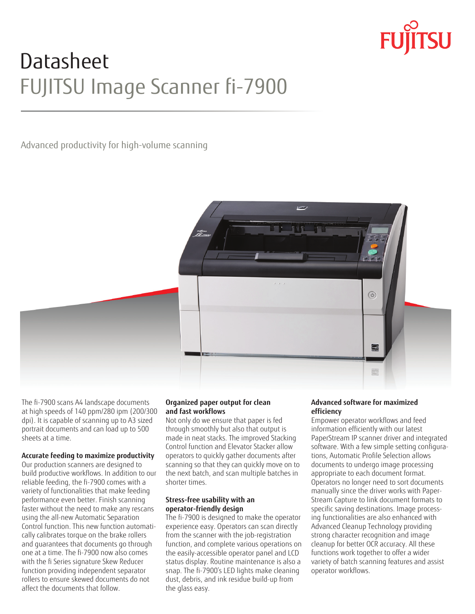# Datasheet FUJITSU Image Scanner fi-7900

## Advanced productivity for high-volume scanning



The fi-7900 scans A4 landscape documents at high speeds of 140 ppm/280 ipm (200/300 dpi). It is capable of scanning up to A3 sized portrait documents and can load up to 500 sheets at a time.

## **Accurate feeding to maximize productivity**

Our production scanners are designed to build productive workflows. In addition to our reliable feeding, the fi-7900 comes with a variety of functionalities that make feeding performance even better. Finish scanning faster without the need to make any rescans using the all-new Automatic Separation Control function. This new function automatically calibrates torque on the brake rollers and guarantees that documents go through one at a time. The fi-7900 now also comes with the fi Series signature Skew Reducer function providing independent separator rollers to ensure skewed documents do not affect the documents that follow.

### **Organized paper output for clean and fast workflows**

Not only do we ensure that paper is fed through smoothly but also that output is made in neat stacks. The improved Stacking Control function and Elevator Stacker allow operators to quickly gather documents after scanning so that they can quickly move on to the next batch, and scan multiple batches in shorter times.

## **Stress-free usability with an operator-friendly design**

The fi-7900 is designed to make the operator experience easy. Operators can scan directly from the scanner with the job-registration function, and complete various operations on the easily-accessible operator panel and LCD status display. Routine maintenance is also a snap. The fi-7900's LED lights make cleaning dust, debris, and ink residue build-up from the glass easy.

## **Advanced software for maximized efficiency**

Empower operator workflows and feed information efficiently with our latest PaperStream IP scanner driver and integrated software. With a few simple setting configurations, Automatic Profile Selection allows documents to undergo image processing appropriate to each document format. Operators no longer need to sort documents manually since the driver works with Paper-Stream Capture to link document formats to specific saving destinations. Image processing functionalities are also enhanced with Advanced Cleanup Technology providing strong character recognition and image cleanup for better OCR accuracy. All these functions work together to offer a wider variety of batch scanning features and assist operator workflows.